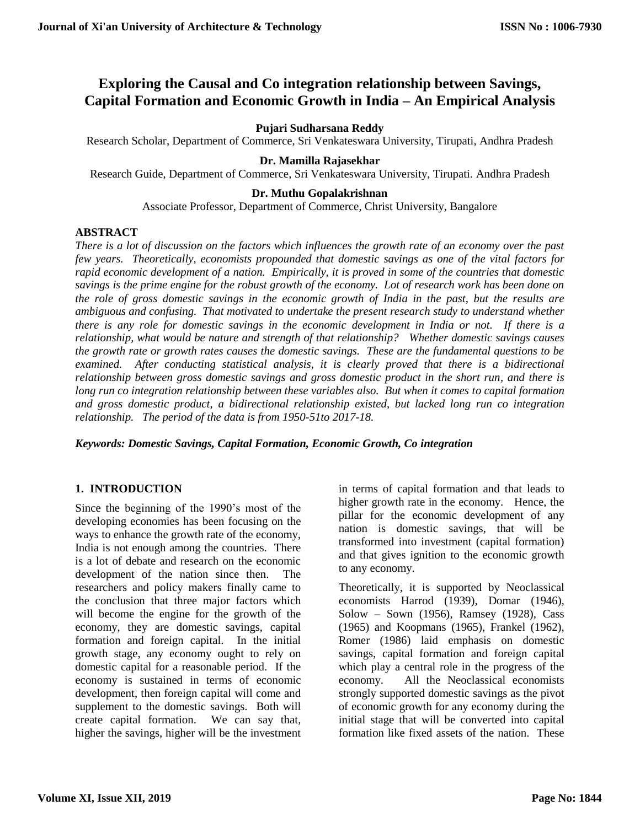# **Exploring the Causal and Co integration relationship between Savings, Capital Formation and Economic Growth in India – An Empirical Analysis**

# **Pujari Sudharsana Reddy**

Research Scholar, Department of Commerce, Sri Venkateswara University, Tirupati, Andhra Pradesh

# **Dr. Mamilla Rajasekhar**

Research Guide, Department of Commerce, Sri Venkateswara University, Tirupati. Andhra Pradesh

### **Dr. Muthu Gopalakrishnan**

Associate Professor, Department of Commerce, Christ University, Bangalore

# **ABSTRACT**

*There is a lot of discussion on the factors which influences the growth rate of an economy over the past few years. Theoretically, economists propounded that domestic savings as one of the vital factors for rapid economic development of a nation. Empirically, it is proved in some of the countries that domestic savings is the prime engine for the robust growth of the economy. Lot of research work has been done on the role of gross domestic savings in the economic growth of India in the past, but the results are ambiguous and confusing. That motivated to undertake the present research study to understand whether there is any role for domestic savings in the economic development in India or not. If there is a relationship, what would be nature and strength of that relationship? Whether domestic savings causes the growth rate or growth rates causes the domestic savings. These are the fundamental questions to be examined. After conducting statistical analysis, it is clearly proved that there is a bidirectional relationship between gross domestic savings and gross domestic product in the short run, and there is long run co integration relationship between these variables also. But when it comes to capital formation and gross domestic product, a bidirectional relationship existed, but lacked long run co integration relationship. The period of the data is from 1950-51to 2017-18.*

*Keywords: Domestic Savings, Capital Formation, Economic Growth, Co integration*

# **1. INTRODUCTION**

Since the beginning of the 1990's most of the developing economies has been focusing on the ways to enhance the growth rate of the economy, India is not enough among the countries. There is a lot of debate and research on the economic development of the nation since then. The researchers and policy makers finally came to the conclusion that three major factors which will become the engine for the growth of the economy, they are domestic savings, capital formation and foreign capital. In the initial growth stage, any economy ought to rely on domestic capital for a reasonable period. If the economy is sustained in terms of economic development, then foreign capital will come and supplement to the domestic savings. Both will create capital formation. We can say that, higher the savings, higher will be the investment in terms of capital formation and that leads to higher growth rate in the economy. Hence, the pillar for the economic development of any nation is domestic savings, that will be transformed into investment (capital formation) and that gives ignition to the economic growth to any economy.

Theoretically, it is supported by Neoclassical economists Harrod (1939), Domar (1946), Solow – Sown (1956), Ramsey (1928), Cass (1965) and Koopmans (1965), Frankel (1962), Romer (1986) laid emphasis on domestic savings, capital formation and foreign capital which play a central role in the progress of the economy. All the Neoclassical economists strongly supported domestic savings as the pivot of economic growth for any economy during the initial stage that will be converted into capital formation like fixed assets of the nation. These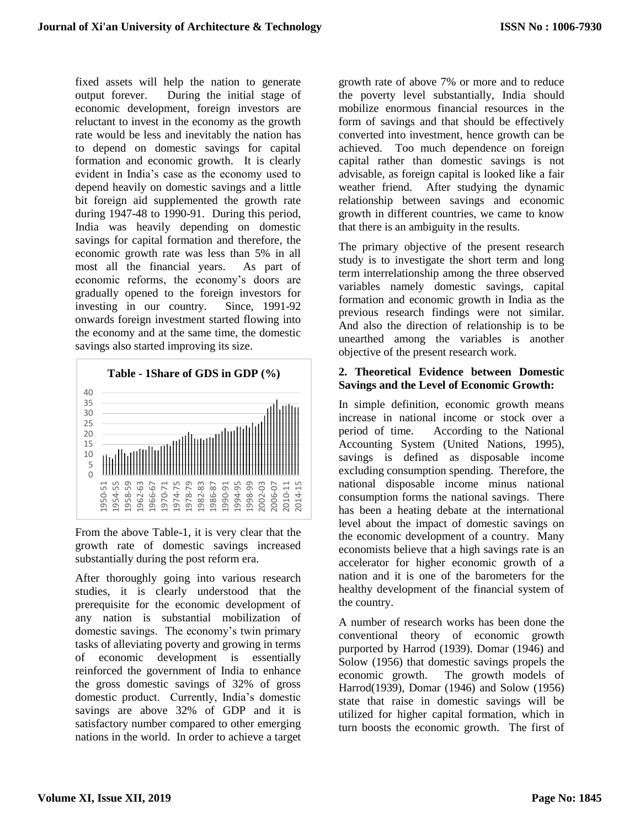fixed assets will help the nation to generate output forever. During the initial stage of economic development, foreign investors are reluctant to invest in the economy as the growth rate would be less and inevitably the nation has to depend on domestic savings for capital formation and economic growth. It is clearly evident in India's case as the economy used to depend heavily on domestic savings and a little bit foreign aid supplemented the growth rate during 1947-48 to 1990-91. During this period, India was heavily depending on domestic savings for capital formation and therefore, the economic growth rate was less than 5% in all most all the financial years. As part of economic reforms, the economy's doors are gradually opened to the foreign investors for investing in our country. Since, 1991-92 onwards foreign investment started flowing into the economy and at the same time, the domestic savings also started improving its size.



From the above Table-1, it is very clear that the growth rate of domestic savings increased substantially during the post reform era.

After thoroughly going into various research studies, it is clearly understood that the prerequisite for the economic development of any nation is substantial mobilization of domestic savings. The economy's twin primary tasks of alleviating poverty and growing in terms of economic development is essentially reinforced the government of India to enhance the gross domestic savings of 32% of gross domestic product. Currently, India's domestic savings are above 32% of GDP and it is satisfactory number compared to other emerging nations in the world. In order to achieve a target

growth rate of above 7% or more and to reduce the poverty level substantially, India should mobilize enormous financial resources in the form of savings and that should be effectively converted into investment, hence growth can be achieved. Too much dependence on foreign capital rather than domestic savings is not advisable, as foreign capital is looked like a fair weather friend. After studying the dynamic relationship between savings and economic growth in different countries, we came to know that there is an ambiguity in the results.

The primary objective of the present research study is to investigate the short term and long term interrelationship among the three observed variables namely domestic savings, capital formation and economic growth in India as the previous research findings were not similar. And also the direction of relationship is to be unearthed among the variables is another objective of the present research work.

# **2. Theoretical Evidence between Domestic Savings and the Level of Economic Growth:**

In simple definition, economic growth means increase in national income or stock over a period of time. According to the National Accounting System (United Nations, 1995), savings is defined as disposable income excluding consumption spending. Therefore, the national disposable income minus national consumption forms the national savings. There has been a heating debate at the international level about the impact of domestic savings on the economic development of a country. Many economists believe that a high savings rate is an accelerator for higher economic growth of a nation and it is one of the barometers for the healthy development of the financial system of the country.

A number of research works has been done the conventional theory of economic growth purported by Harrod (1939). Domar (1946) and Solow (1956) that domestic savings propels the economic growth. The growth models of Harrod(1939), Domar (1946) and Solow (1956) state that raise in domestic savings will be utilized for higher capital formation, which in turn boosts the economic growth. The first of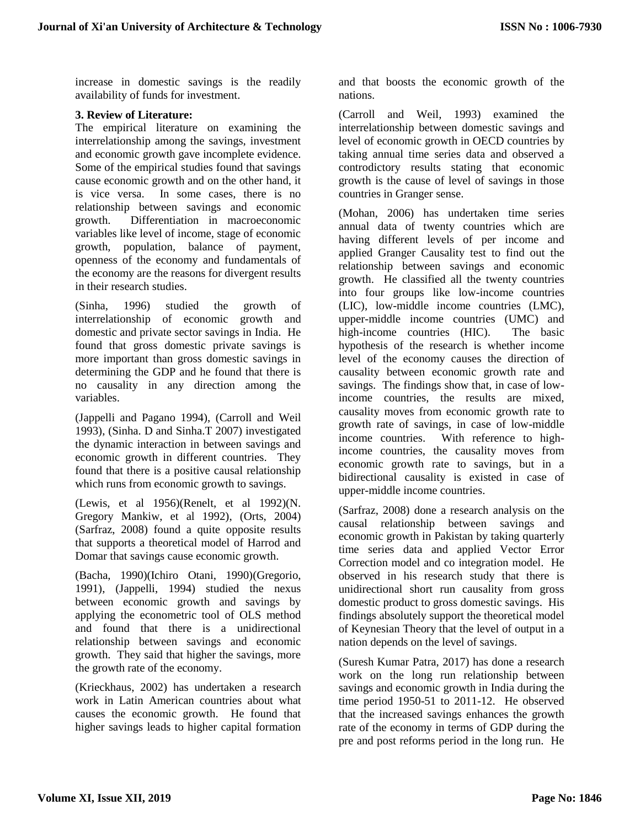increase in domestic savings is the readily availability of funds for investment.

### **3. Review of Literature:**

The empirical literature on examining the interrelationship among the savings, investment and economic growth gave incomplete evidence. Some of the empirical studies found that savings cause economic growth and on the other hand, it is vice versa. In some cases, there is no relationship between savings and economic growth. Differentiation in macroeconomic variables like level of income, stage of economic growth, population, balance of payment, openness of the economy and fundamentals of the economy are the reasons for divergent results in their research studies.

(Sinha, 1996) studied the growth of interrelationship of economic growth and domestic and private sector savings in India. He found that gross domestic private savings is more important than gross domestic savings in determining the GDP and he found that there is no causality in any direction among the variables.

(Jappelli and Pagano 1994), (Carroll and Weil 1993), (Sinha. D and Sinha.T 2007) investigated the dynamic interaction in between savings and economic growth in different countries. They found that there is a positive causal relationship which runs from economic growth to savings.

(Lewis, et al 1956)(Renelt, et al 1992)(N. Gregory Mankiw, et al 1992), (Orts, 2004) (Sarfraz, 2008) found a quite opposite results that supports a theoretical model of Harrod and Domar that savings cause economic growth.

(Bacha, 1990)(Ichiro Otani, 1990)(Gregorio, 1991), (Jappelli, 1994) studied the nexus between economic growth and savings by applying the econometric tool of OLS method and found that there is a unidirectional relationship between savings and economic growth. They said that higher the savings, more the growth rate of the economy.

(Krieckhaus, 2002) has undertaken a research work in Latin American countries about what causes the economic growth. He found that higher savings leads to higher capital formation

and that boosts the economic growth of the nations.

(Carroll and Weil, 1993) examined the interrelationship between domestic savings and level of economic growth in OECD countries by taking annual time series data and observed a controdictory results stating that economic growth is the cause of level of savings in those countries in Granger sense.

(Mohan, 2006) has undertaken time series annual data of twenty countries which are having different levels of per income and applied Granger Causality test to find out the relationship between savings and economic growth. He classified all the twenty countries into four groups like low-income countries (LIC), low-middle income countries (LMC), upper-middle income countries (UMC) and high-income countries (HIC). The basic hypothesis of the research is whether income level of the economy causes the direction of causality between economic growth rate and savings. The findings show that, in case of lowincome countries, the results are mixed, causality moves from economic growth rate to growth rate of savings, in case of low-middle income countries. With reference to highincome countries, the causality moves from economic growth rate to savings, but in a bidirectional causality is existed in case of upper-middle income countries.

(Sarfraz, 2008) done a research analysis on the causal relationship between savings and economic growth in Pakistan by taking quarterly time series data and applied Vector Error Correction model and co integration model. He observed in his research study that there is unidirectional short run causality from gross domestic product to gross domestic savings. His findings absolutely support the theoretical model of Keynesian Theory that the level of output in a nation depends on the level of savings.

(Suresh Kumar Patra, 2017) has done a research work on the long run relationship between savings and economic growth in India during the time period 1950-51 to 2011-12. He observed that the increased savings enhances the growth rate of the economy in terms of GDP during the pre and post reforms period in the long run. He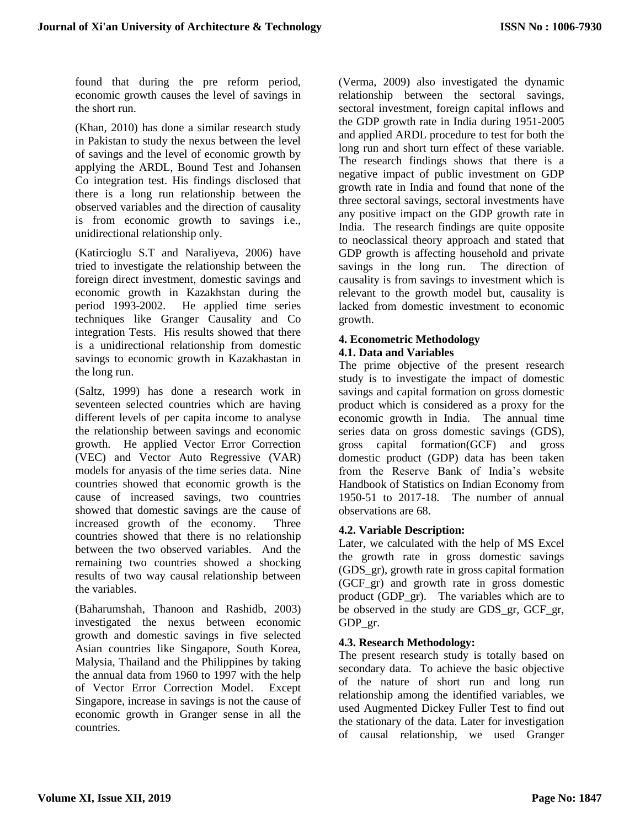found that during the pre reform period, economic growth causes the level of savings in the short run.

(Khan, 2010) has done a similar research study in Pakistan to study the nexus between the level of savings and the level of economic growth by applying the ARDL, Bound Test and Johansen Co integration test. His findings disclosed that there is a long run relationship between the observed variables and the direction of causality is from economic growth to savings i.e., unidirectional relationship only.

(Katircioglu S.T and Naraliyeva, 2006) have tried to investigate the relationship between the foreign direct investment, domestic savings and economic growth in Kazakhstan during the period 1993-2002. He applied time series techniques like Granger Causality and Co integration Tests. His results showed that there is a unidirectional relationship from domestic savings to economic growth in Kazakhastan in the long run.

(Saltz, 1999) has done a research work in seventeen selected countries which are having different levels of per capita income to analyse the relationship between savings and economic growth. He applied Vector Error Correction (VEC) and Vector Auto Regressive (VAR) models for anyasis of the time series data. Nine countries showed that economic growth is the cause of increased savings, two countries showed that domestic savings are the cause of increased growth of the economy. Three countries showed that there is no relationship between the two observed variables. And the remaining two countries showed a shocking results of two way causal relationship between the variables.

(Baharumshah, Thanoon and Rashidb, 2003) investigated the nexus between economic growth and domestic savings in five selected Asian countries like Singapore, South Korea, Malysia, Thailand and the Philippines by taking the annual data from 1960 to 1997 with the help of Vector Error Correction Model. Except Singapore, increase in savings is not the cause of economic growth in Granger sense in all the countries.

(Verma, 2009) also investigated the dynamic relationship between the sectoral savings, sectoral investment, foreign capital inflows and the GDP growth rate in India during 1951-2005 and applied ARDL procedure to test for both the long run and short turn effect of these variable. The research findings shows that there is a negative impact of public investment on GDP growth rate in India and found that none of the three sectoral savings, sectoral investments have any positive impact on the GDP growth rate in India. The research findings are quite opposite to neoclassical theory approach and stated that GDP growth is affecting household and private savings in the long run. The direction of causality is from savings to investment which is relevant to the growth model but, causality is lacked from domestic investment to economic growth.

#### **4. Econometric Methodology 4.1. Data and Variables**

The prime objective of the present research study is to investigate the impact of domestic savings and capital formation on gross domestic product which is considered as a proxy for the economic growth in India. The annual time series data on gross domestic savings (GDS), gross capital formation(GCF) and gross domestic product (GDP) data has been taken from the Reserve Bank of India's website Handbook of Statistics on Indian Economy from 1950-51 to 2017-18. The number of annual observations are 68.

### **4.2. Variable Description:**

Later, we calculated with the help of MS Excel the growth rate in gross domestic savings (GDS\_gr), growth rate in gross capital formation (GCF\_gr) and growth rate in gross domestic product (GDP\_gr). The variables which are to be observed in the study are GDS\_gr, GCF\_gr, GDP\_gr.

### **4.3. Research Methodology:**

The present research study is totally based on secondary data. To achieve the basic objective of the nature of short run and long run relationship among the identified variables, we used Augmented Dickey Fuller Test to find out the stationary of the data. Later for investigation of causal relationship, we used Granger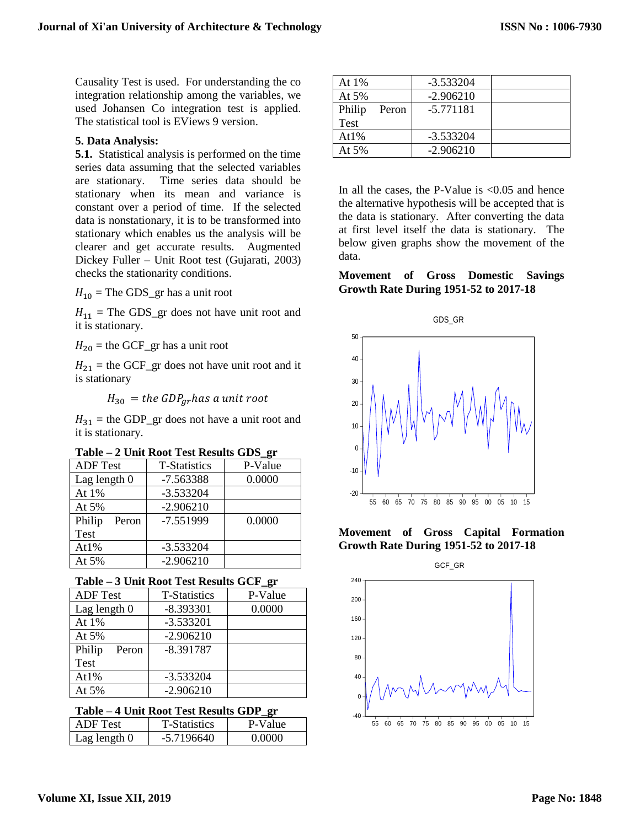Causality Test is used. For understanding the co integration relationship among the variables, we used Johansen Co integration test is applied. The statistical tool is EViews 9 version.

### **5. Data Analysis:**

**5.1.** Statistical analysis is performed on the time series data assuming that the selected variables are stationary. Time series data should be stationary when its mean and variance is constant over a period of time. If the selected data is nonstationary, it is to be transformed into stationary which enables us the analysis will be clearer and get accurate results. Augmented Dickey Fuller – Unit Root test (Gujarati, 2003) checks the stationarity conditions.

 $H_{10}$  = The GDS\_gr has a unit root

 $H_{11}$  = The GDS\_gr does not have unit root and it is stationary.

 $H_{20}$  = the GCF\_gr has a unit root

 $H_{21}$  = the GCF\_gr does not have unit root and it is stationary

 $H_{30} =$  the GDP<sub>ar</sub>has a unit root

 $H_{31}$  = the GDP\_gr does not have a unit root and it is stationary.

|  |  | Table – 2 Unit Root Test Results GDS_gr |  |
|--|--|-----------------------------------------|--|
|  |  |                                         |  |

| <b>ADF</b> Test | <b>T-Statistics</b> | P-Value |
|-----------------|---------------------|---------|
| Lag length $0$  | $-7.563388$         | 0.0000  |
| At 1%           | $-3.533204$         |         |
| At $5%$         | $-2.906210$         |         |
| Philip<br>Peron | $-7.551999$         | 0.0000  |
| <b>Test</b>     |                     |         |
| At $1\%$        | $-3.533204$         |         |
| At $5%$         | $-2.906210$         |         |

**Table – 3 Unit Root Test Results GCF\_gr**

| <b>ADF</b> Test | <b>T-Statistics</b> | P-Value |
|-----------------|---------------------|---------|
| Lag length $0$  | $-8.393301$         | 0.0000  |
| At $1\%$        | $-3.533201$         |         |
| At $5%$         | $-2.906210$         |         |
| Philip<br>Peron | $-8.391787$         |         |
| Test            |                     |         |
| At $1\%$        | $-3.533204$         |         |
| At $5%$         | $-2.906210$         |         |

#### **Table – 4 Unit Root Test Results GDP\_gr**

| ADF Test-    | <b>T-Statistics</b> | P-Value |
|--------------|---------------------|---------|
| Lag length 0 | $-57196640$         | Ი ᲘᲘᲘᲘ  |

| At $1\%$    |       | $-3.533204$ |  |
|-------------|-------|-------------|--|
| At $5%$     |       | $-2.906210$ |  |
| Philip      | Peron | $-5.771181$ |  |
| <b>Test</b> |       |             |  |
| At $1\%$    |       | $-3.533204$ |  |
| At 5%       |       | $-2.906210$ |  |

In all the cases, the P-Value is  $\leq 0.05$  and hence the alternative hypothesis will be accepted that is the data is stationary. After converting the data at first level itself the data is stationary. The below given graphs show the movement of the data.

**Movement of Gross Domestic Savings Growth Rate During 1951-52 to 2017-18**



**Movement of Gross Capital Formation Growth Rate During 1951-52 to 2017-18**

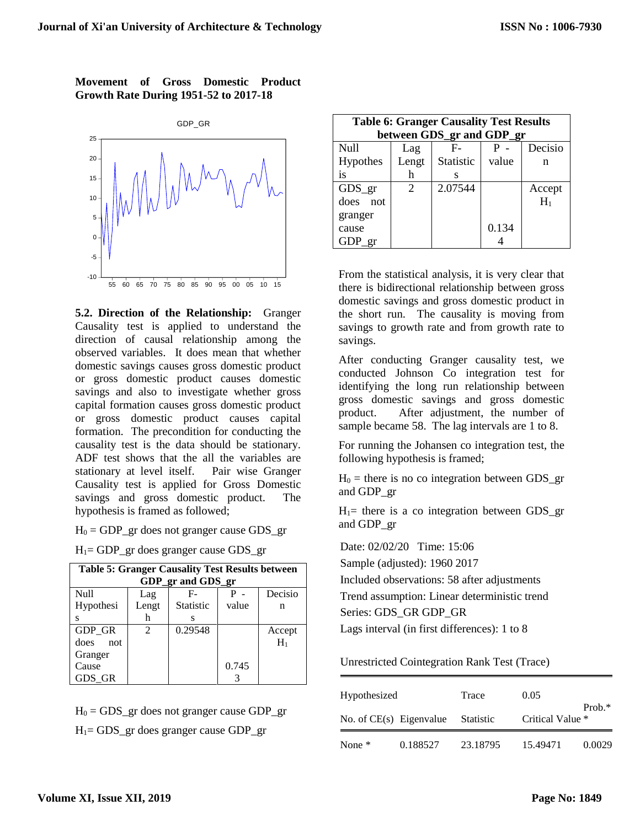### **Movement of Gross Domestic Product Growth Rate During 1951-52 to 2017-18**



**5.2. Direction of the Relationship:** Granger Causality test is applied to understand the direction of causal relationship among the observed variables. It does mean that whether domestic savings causes gross domestic product or gross domestic product causes domestic savings and also to investigate whether gross capital formation causes gross domestic product or gross domestic product causes capital formation. The precondition for conducting the causality test is the data should be stationary. ADF test shows that the all the variables are stationary at level itself. Pair wise Granger Causality test is applied for Gross Domestic savings and gross domestic product. The hypothesis is framed as followed;

 $H_0 = GDP\_gr$  does not granger cause GDS\_gr

 $H_1$ = GDP\_gr does granger cause GDS\_gr

| <b>Table 5: Granger Causality Test Results between</b> |                             |                   |       |         |  |
|--------------------------------------------------------|-----------------------------|-------------------|-------|---------|--|
|                                                        |                             | GDP_gr and GDS_gr |       |         |  |
| Null                                                   | Lag                         | F-                |       | Decisio |  |
| Hypothesi                                              | Lengt                       | <b>Statistic</b>  | value | n       |  |
| s                                                      | h                           | s                 |       |         |  |
| <b>GDP GR</b>                                          | $\mathcal{D}_{\mathcal{L}}$ | 0.29548           |       | Accept  |  |
| does.<br>not                                           |                             |                   |       | $H_1$   |  |
| Granger                                                |                             |                   |       |         |  |
| Cause                                                  |                             |                   | 0.745 |         |  |
| GDS GR                                                 |                             |                   |       |         |  |

 $H_0 = GDS\_gr$  does not granger cause  $GDP\_gr$  $H_1 = GDS\_gr$  does granger cause  $GDP\_gr$ 

| <b>Table 6: Granger Causality Test Results</b> |                       |                           |       |         |  |
|------------------------------------------------|-----------------------|---------------------------|-------|---------|--|
|                                                |                       | between GDS_gr and GDP_gr |       |         |  |
| Null                                           | Lag                   | F-                        |       | Decisio |  |
| Hypothes                                       | Lengt                 | Statistic                 | value | n       |  |
| is                                             | h                     | s                         |       |         |  |
| GDS gr                                         | $\mathcal{D}_{\cdot}$ | 2.07544                   |       | Accept  |  |
| does not                                       |                       |                           |       | $H_1$   |  |
| granger                                        |                       |                           |       |         |  |
| cause                                          |                       |                           | 0.134 |         |  |
| GDP gr                                         |                       |                           |       |         |  |

From the statistical analysis, it is very clear that there is bidirectional relationship between gross domestic savings and gross domestic product in the short run. The causality is moving from savings to growth rate and from growth rate to savings.

After conducting Granger causality test, we conducted Johnson Co integration test for identifying the long run relationship between gross domestic savings and gross domestic product. After adjustment, the number of sample became 58. The lag intervals are 1 to 8.

For running the Johansen co integration test, the following hypothesis is framed;

 $H_0$  = there is no co integration between GDS gr and GDP\_gr

 $H_1$ = there is a co integration between GDS\_gr and GDP\_gr

Date: 02/02/20 Time: 15:06

Sample (adjusted): 1960 2017

Included observations: 58 after adjustments

Trend assumption: Linear deterministic trend

Series: GDS\_GR GDP\_GR

Lags interval (in first differences): 1 to 8

Unrestricted Cointegration Rank Test (Trace)

| Hypothesized<br>No. of $CE(s)$ Eigenvalue |          | Trace     | 0.05                         |        |
|-------------------------------------------|----------|-----------|------------------------------|--------|
|                                           |          | Statistic | $Prob.*$<br>Critical Value * |        |
| None $*$                                  | 0.188527 | 23.18795  | 15.49471                     | 0.0029 |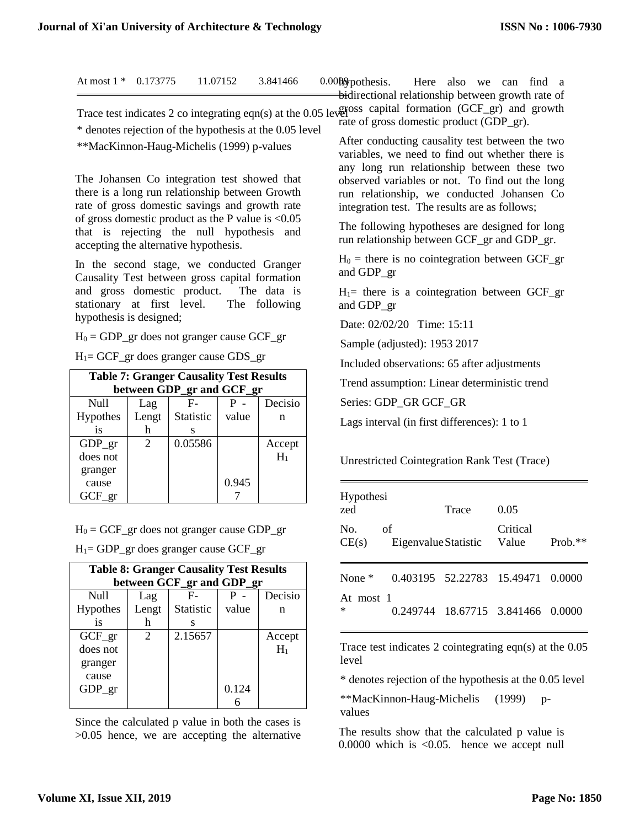|                         | At most $1 * 0.173775$ 11.07152       |                                                                                                                                                   | 3.841466                                                | 0.0000 pothesis. Here also we can find a<br><del>bi</del> directional relationship between growth rate of                                                                                                                                                              |
|-------------------------|---------------------------------------|---------------------------------------------------------------------------------------------------------------------------------------------------|---------------------------------------------------------|------------------------------------------------------------------------------------------------------------------------------------------------------------------------------------------------------------------------------------------------------------------------|
|                         |                                       | **MacKinnon-Haug-Michelis (1999) p-values                                                                                                         | * denotes rejection of the hypothesis at the 0.05 level | Trace test indicates 2 co integrating eqn(s) at the 0.05 level <sup>orss</sup> capital formation (GCF_gr) and growth<br>rate of gross domestic product (GDP_gr).<br>After conducting causality test between the two<br>variables, we need to find out whether there is |
|                         |                                       | The Johansen Co integration test showed that<br>there is a long run relationship between Growth<br>rate of gross domestic savings and growth rate |                                                         | any long run relationship between these two<br>observed variables or not. To find out the long<br>run relationship, we conducted Johansen Co<br>integration test. The results are as follows;                                                                          |
|                         | accepting the alternative hypothesis. | of gross domestic product as the P value is $< 0.05$<br>that is rejecting the null hypothesis and                                                 |                                                         | The following hypotheses are designed for long<br>run relationship between GCF_gr and GDP_gr.                                                                                                                                                                          |
|                         |                                       | In the second stage, we conducted Granger<br>Causality Test between gross capital formation                                                       |                                                         | $H_0$ = there is no cointegration between GCF_gr<br>and GDP_gr                                                                                                                                                                                                         |
|                         |                                       | and gross domestic product. The data is<br>stationary at first level. The following                                                               |                                                         | $H_1$ = there is a cointegration between GCF_gr<br>and GDP_gr                                                                                                                                                                                                          |
| hypothesis is designed; |                                       |                                                                                                                                                   |                                                         | $D_{1}$ 00/00/00 $T'$ 17.11                                                                                                                                                                                                                                            |

 $H_0 = GDP\_gr$  does not granger cause  $GCF\_gr$ 

 $H_1 = GCF\_gr$  does granger cause  $GDS\_gr$ 

| <b>Table 7: Granger Causality Test Results</b> |                             |                           |       |         |  |
|------------------------------------------------|-----------------------------|---------------------------|-------|---------|--|
|                                                |                             | between GDP_gr and GCF_gr |       |         |  |
| Null                                           | Lag                         | F-                        |       | Decisio |  |
| <b>Hypothes</b>                                | Lengt                       | Statistic                 | value | n       |  |
| <i>is</i>                                      | h                           | S                         |       |         |  |
| GDP gr                                         | $\mathcal{D}_{\mathcal{L}}$ | 0.05586                   |       | Accept  |  |
| does not                                       |                             |                           |       | $H_1$   |  |
| granger                                        |                             |                           |       |         |  |
| cause                                          |                             |                           | 0.945 |         |  |
| GCF<br>er                                      |                             |                           |       |         |  |

 $H_0 = GCF\_gr$  does not granger cause  $GDP\_gr$ 

 $H_1$ = GDP\_gr does granger cause GCF\_gr

| <b>Table 8: Granger Causality Test Results</b> |       |                           |       |         |  |
|------------------------------------------------|-------|---------------------------|-------|---------|--|
|                                                |       | between GCF_gr and GDP_gr |       |         |  |
| Null                                           | Lag   | $F-$                      |       | Decisio |  |
| <b>Hypothes</b>                                | Lengt | <b>Statistic</b>          | value | n       |  |
| is                                             | h     | s                         |       |         |  |
| $GCF\_gr$                                      | 2     | 2.15657                   |       | Accept  |  |
| does not                                       |       |                           |       | $H_1$   |  |
| granger                                        |       |                           |       |         |  |
| cause                                          |       |                           |       |         |  |
| GDP gr                                         |       |                           | 0.124 |         |  |
|                                                |       |                           |       |         |  |

Since the calculated p value in both the cases is >0.05 hence, we are accepting the alternative

Date: 02/02/20 Time: 15:11

Sample (adjusted): 1953 2017

Included observations: 65 after adjustments

Trend assumption: Linear deterministic trend

Series: GDP\_GR GCF\_GR

Lags interval (in first differences): 1 to 1

Unrestricted Cointegration Rank Test (Trace)

| Hypothesi<br>zed |                            | Trace                      | 0.05              |            |
|------------------|----------------------------|----------------------------|-------------------|------------|
| No.<br>CE(s)     | of<br>Eigenvalue Statistic |                            | Critical<br>Value | Prob. $**$ |
| None $*$         |                            | 0.403195 52.22783 15.49471 |                   | 0.0000     |
| At most 1<br>∗   | 0.249744                   |                            | 18.67715 3.841466 | 0.0000     |

Trace test indicates 2 cointegrating eqn(s) at the 0.05 level

\* denotes rejection of the hypothesis at the 0.05 level

\*\*MacKinnon-Haug-Michelis (1999) pvalues

The results show that the calculated p value is 0.0000 which is <0.05. hence we accept null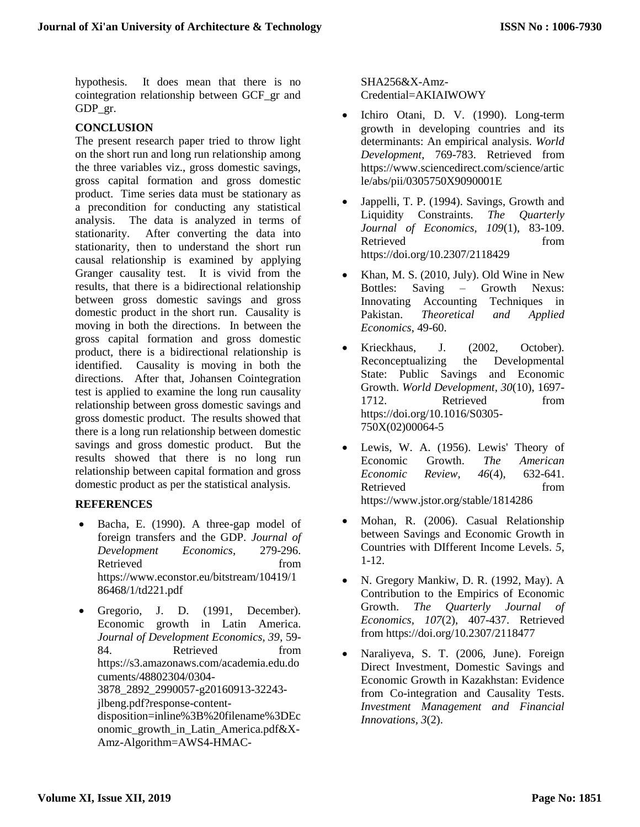hypothesis. It does mean that there is no cointegration relationship between GCF\_gr and GDP\_gr.

# **CONCLUSION**

The present research paper tried to throw light on the short run and long run relationship among the three variables viz., gross domestic savings, gross capital formation and gross domestic product. Time series data must be stationary as a precondition for conducting any statistical analysis. The data is analyzed in terms of stationarity. After converting the data into stationarity, then to understand the short run causal relationship is examined by applying Granger causality test. It is vivid from the results, that there is a bidirectional relationship between gross domestic savings and gross domestic product in the short run. Causality is moving in both the directions. In between the gross capital formation and gross domestic product, there is a bidirectional relationship is identified. Causality is moving in both the directions. After that, Johansen Cointegration test is applied to examine the long run causality relationship between gross domestic savings and gross domestic product. The results showed that there is a long run relationship between domestic savings and gross domestic product. But the results showed that there is no long run relationship between capital formation and gross domestic product as per the statistical analysis.

# **REFERENCES**

- Bacha, E. (1990). A three-gap model of foreign transfers and the GDP. *Journal of Development Economics*, 279-296. Retrieved from https://www.econstor.eu/bitstream/10419/1 86468/1/td221.pdf
- Gregorio, J. D. (1991, December). Economic growth in Latin America. *Journal of Development Economics, 39*, 59- 84. Retrieved from https://s3.amazonaws.com/academia.edu.do cuments/48802304/0304- 3878\_2892\_2990057-g20160913-32243 jlbeng.pdf?response-contentdisposition=inline%3B%20filename%3DEc onomic\_growth\_in\_Latin\_America.pdf&X-Amz-Algorithm=AWS4-HMAC-

SHA256&X-Amz-Credential=AKIAIWOWY

- Ichiro Otani, D. V. (1990). Long-term growth in developing countries and its determinants: An empirical analysis. *World Development*, 769-783. Retrieved from https://www.sciencedirect.com/science/artic le/abs/pii/0305750X9090001E
- Jappelli, T. P. (1994). Savings, Growth and Liquidity Constraints. *The Quarterly Journal of Economics, 109*(1), 83-109. Retrieved from https://doi.org/10.2307/2118429
- Khan, M. S. (2010, July). Old Wine in New Bottles: Saving – Growth Nexus: Innovating Accounting Techniques in Pakistan. *Theoretical and Applied Economics*, 49-60.
- Krieckhaus, J. (2002, October). Reconceptualizing the Developmental State: Public Savings and Economic Growth. *World Development, 30*(10), 1697- 1712. Retrieved from https://doi.org/10.1016/S0305- 750X(02)00064-5
- Lewis, W. A. (1956). Lewis' Theory of Economic Growth. *The American Economic Review, 46*(4), 632-641. Retrieved from https://www.jstor.org/stable/1814286
- Mohan, R. (2006). Casual Relationship between Savings and Economic Growth in Countries with DIfferent Income Levels. *5*, 1-12.
- N. Gregory Mankiw, D. R. (1992, May). A Contribution to the Empirics of Economic Growth. *The Quarterly Journal of Economics, 107*(2), 407-437. Retrieved from https://doi.org/10.2307/2118477
- Naraliyeva, S. T. (2006, June). Foreign Direct Investment, Domestic Savings and Economic Growth in Kazakhstan: Evidence from Co-integration and Causality Tests. *Investment Management and Financial Innovations, 3*(2).